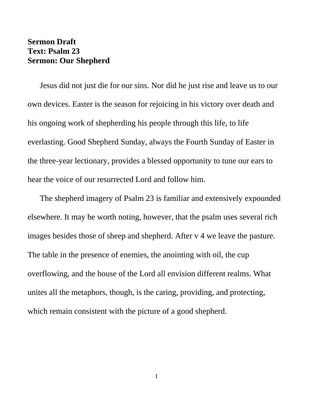## **Sermon Draft Text: Psalm 23 Sermon: Our Shepherd**

Jesus did not just die for our sins. Nor did he just rise and leave us to our own devices. Easter is the season for rejoicing in his victory over death and his ongoing work of shepherding his people through this life, to life everlasting. Good Shepherd Sunday, always the Fourth Sunday of Easter in the three-year lectionary, provides a blessed opportunity to tune our ears to hear the voice of our resurrected Lord and follow him.

The shepherd imagery of Psalm 23 is familiar and extensively expounded elsewhere. It may be worth noting, however, that the psalm uses several rich images besides those of sheep and shepherd. After v 4 we leave the pasture. The table in the presence of enemies, the anointing with oil, the cup overflowing, and the house of the Lord all envision different realms. What unites all the metaphors, though, is the caring, providing, and protecting, which remain consistent with the picture of a good shepherd.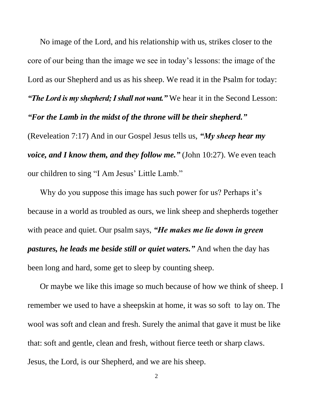No image of the Lord, and his relationship with us, strikes closer to the core of our being than the image we see in today's lessons: the image of the Lord as our Shepherd and us as his sheep. We read it in the Psalm for today: *"The Lord is my shepherd; I shall not want."* We hear it in the Second Lesson: *"For the Lamb in the midst of the throne will be their shepherd."* (Reveleation 7:17) And in our Gospel Jesus tells us, *"My sheep hear my* 

*voice, and I know them, and they follow me."* (John 10:27). We even teach our children to sing "I Am Jesus' Little Lamb."

Why do you suppose this image has such power for us? Perhaps it's because in a world as troubled as ours, we link sheep and shepherds together with peace and quiet. Our psalm says, *"He makes me lie down in green pastures, he leads me beside still or quiet waters."* And when the day has been long and hard, some get to sleep by counting sheep.

Or maybe we like this image so much because of how we think of sheep. I remember we used to have a sheepskin at home, it was so soft to lay on. The wool was soft and clean and fresh. Surely the animal that gave it must be like that: soft and gentle, clean and fresh, without fierce teeth or sharp claws. Jesus, the Lord, is our Shepherd, and we are his sheep.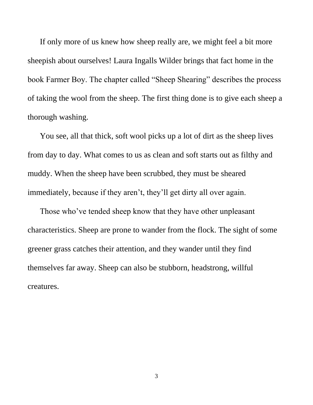If only more of us knew how sheep really are, we might feel a bit more sheepish about ourselves! Laura Ingalls Wilder brings that fact home in the book Farmer Boy. The chapter called "Sheep Shearing" describes the process of taking the wool from the sheep. The first thing done is to give each sheep a thorough washing.

You see, all that thick, soft wool picks up a lot of dirt as the sheep lives from day to day. What comes to us as clean and soft starts out as filthy and muddy. When the sheep have been scrubbed, they must be sheared immediately, because if they aren't, they'll get dirty all over again.

Those who've tended sheep know that they have other unpleasant characteristics. Sheep are prone to wander from the flock. The sight of some greener grass catches their attention, and they wander until they find themselves far away. Sheep can also be stubborn, headstrong, willful creatures.

3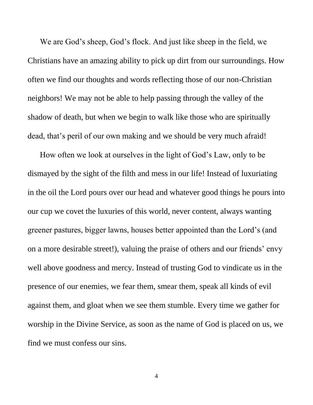We are God's sheep, God's flock. And just like sheep in the field, we Christians have an amazing ability to pick up dirt from our surroundings. How often we find our thoughts and words reflecting those of our non-Christian neighbors! We may not be able to help passing through the valley of the shadow of death, but when we begin to walk like those who are spiritually dead, that's peril of our own making and we should be very much afraid!

How often we look at ourselves in the light of God's Law, only to be dismayed by the sight of the filth and mess in our life! Instead of luxuriating in the oil the Lord pours over our head and whatever good things he pours into our cup we covet the luxuries of this world, never content, always wanting greener pastures, bigger lawns, houses better appointed than the Lord's (and on a more desirable street!), valuing the praise of others and our friends' envy well above goodness and mercy. Instead of trusting God to vindicate us in the presence of our enemies, we fear them, smear them, speak all kinds of evil against them, and gloat when we see them stumble. Every time we gather for worship in the Divine Service, as soon as the name of God is placed on us, we find we must confess our sins.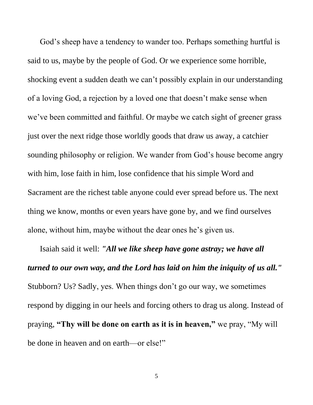God's sheep have a tendency to wander too. Perhaps something hurtful is said to us, maybe by the people of God. Or we experience some horrible, shocking event a sudden death we can't possibly explain in our understanding of a loving God, a rejection by a loved one that doesn't make sense when we've been committed and faithful. Or maybe we catch sight of greener grass just over the next ridge those worldly goods that draw us away, a catchier sounding philosophy or religion. We wander from God's house become angry with him, lose faith in him, lose confidence that his simple Word and Sacrament are the richest table anyone could ever spread before us. The next thing we know, months or even years have gone by, and we find ourselves alone, without him, maybe without the dear ones he's given us.

Isaiah said it well: *"All we like sheep have gone astray; we have all turned to our own way, and the Lord has laid on him the iniquity of us all."* Stubborn? Us? Sadly, yes. When things don't go our way, we sometimes respond by digging in our heels and forcing others to drag us along. Instead of praying, **"Thy will be done on earth as it is in heaven,"** we pray, "My will be done in heaven and on earth—or else!"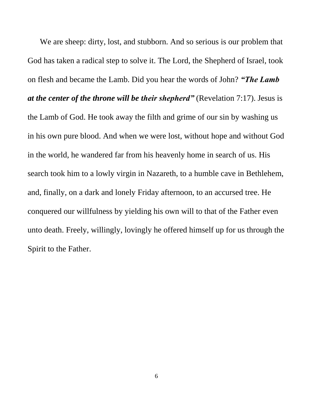We are sheep: dirty, lost, and stubborn. And so serious is our problem that God has taken a radical step to solve it. The Lord, the Shepherd of Israel, took on flesh and became the Lamb. Did you hear the words of John? *"The Lamb at the center of the throne will be their shepherd"* (Revelation 7:17). Jesus is the Lamb of God. He took away the filth and grime of our sin by washing us in his own pure blood. And when we were lost, without hope and without God in the world, he wandered far from his heavenly home in search of us. His search took him to a lowly virgin in Nazareth, to a humble cave in Bethlehem, and, finally, on a dark and lonely Friday afternoon, to an accursed tree. He conquered our willfulness by yielding his own will to that of the Father even unto death. Freely, willingly, lovingly he offered himself up for us through the Spirit to the Father.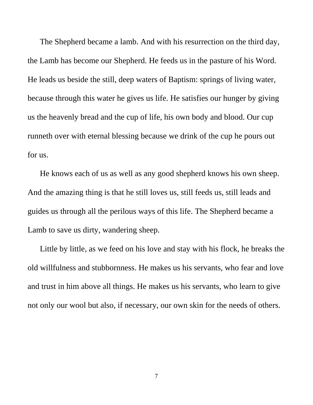The Shepherd became a lamb. And with his resurrection on the third day, the Lamb has become our Shepherd. He feeds us in the pasture of his Word. He leads us beside the still, deep waters of Baptism: springs of living water, because through this water he gives us life. He satisfies our hunger by giving us the heavenly bread and the cup of life, his own body and blood. Our cup runneth over with eternal blessing because we drink of the cup he pours out for us.

He knows each of us as well as any good shepherd knows his own sheep. And the amazing thing is that he still loves us, still feeds us, still leads and guides us through all the perilous ways of this life. The Shepherd became a Lamb to save us dirty, wandering sheep.

Little by little, as we feed on his love and stay with his flock, he breaks the old willfulness and stubbornness. He makes us his servants, who fear and love and trust in him above all things. He makes us his servants, who learn to give not only our wool but also, if necessary, our own skin for the needs of others.